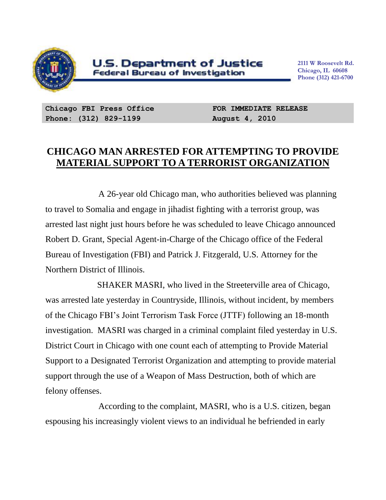

**2111 W Roosevelt Rd. Chicago, IL 60608 Phone (312) 421-6700**

**Chicago FBI Press Office Phone: (312) 829-1199**

**FOR IMMEDIATE RELEASE August 4, 2010**

## **CHICAGO MAN ARRESTED FOR ATTEMPTING TO PROVIDE MATERIAL SUPPORT TO A TERRORIST ORGANIZATION**

A 26-year old Chicago man, who authorities believed was planning to travel to Somalia and engage in jihadist fighting with a terrorist group, was arrested last night just hours before he was scheduled to leave Chicago announced Robert D. Grant, Special Agent-in-Charge of the Chicago office of the Federal Bureau of Investigation (FBI) and Patrick J. Fitzgerald, U.S. Attorney for the Northern District of Illinois.

 SHAKER MASRI, who lived in the Streeterville area of Chicago, was arrested late yesterday in Countryside, Illinois, without incident, by members of the Chicago FBI's Joint Terrorism Task Force (JTTF) following an 18-month investigation. MASRI was charged in a criminal complaint filed yesterday in U.S. District Court in Chicago with one count each of attempting to Provide Material Support to a Designated Terrorist Organization and attempting to provide material support through the use of a Weapon of Mass Destruction, both of which are felony offenses.

According to the complaint, MASRI, who is a U.S. citizen, began espousing his increasingly violent views to an individual he befriended in early